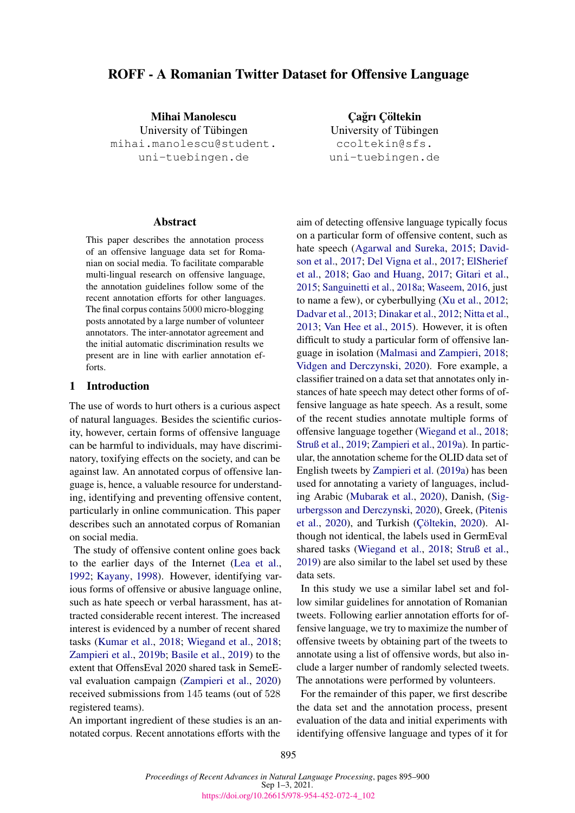# ROFF - A Romanian Twitter Dataset for Offensive Language

Mihai Manolescu University of Tübingen mihai.manolescu@student. uni-tuebingen.de

#### Abstract

This paper describes the annotation process of an offensive language data set for Romanian on social media. To facilitate comparable multi-lingual research on offensive language, the annotation guidelines follow some of the recent annotation efforts for other languages. The final corpus contains 5000 micro-blogging posts annotated by a large number of volunteer annotators. The inter-annotator agreement and the initial automatic discrimination results we present are in line with earlier annotation efforts.

# 1 Introduction

The use of words to hurt others is a curious aspect of natural languages. Besides the scientific curiosity, however, certain forms of offensive language can be harmful to individuals, may have discriminatory, toxifying effects on the society, and can be against law. An annotated corpus of offensive language is, hence, a valuable resource for understanding, identifying and preventing offensive content, particularly in online communication. This paper describes such an annotated corpus of Romanian on social media.

The study of offensive content online goes back to the earlier days of the Internet [\(Lea et al.,](#page-4-0) [1992;](#page-4-0) [Kayany,](#page-4-1) [1998\)](#page-4-1). However, identifying various forms of offensive or abusive language online, such as hate speech or verbal harassment, has attracted considerable recent interest. The increased interest is evidenced by a number of recent shared tasks [\(Kumar et al.,](#page-4-2) [2018;](#page-4-2) [Wiegand et al.,](#page-5-0) [2018;](#page-5-0) [Zampieri et al.,](#page-5-1) [2019b;](#page-5-1) [Basile et al.,](#page-4-3) [2019\)](#page-4-3) to the extent that OffensEval 2020 shared task in SemeEval evaluation campaign [\(Zampieri et al.,](#page-5-2) [2020\)](#page-5-2) received submissions from 145 teams (out of 528 registered teams).

An important ingredient of these studies is an annotated corpus. Recent annotations efforts with the

Çağrı Çöltekin University of Tübingen ccoltekin@sfs. uni-tuebingen.de

aim of detecting offensive language typically focus on a particular form of offensive content, such as hate speech [\(Agarwal and Sureka,](#page-4-4) [2015;](#page-4-4) [David](#page-4-5)[son et al.,](#page-4-5) [2017;](#page-4-5) [Del Vigna et al.,](#page-4-6) [2017;](#page-4-6) [ElSherief](#page-4-7) [et al.,](#page-4-7) [2018;](#page-4-7) [Gao and Huang,](#page-4-8) [2017;](#page-4-8) [Gitari et al.,](#page-4-9) [2015;](#page-4-9) [Sanguinetti et al.,](#page-4-10) [2018a;](#page-4-10) [Waseem,](#page-5-3) [2016,](#page-5-3) just to name a few), or cyberbullying [\(Xu et al.,](#page-5-4) [2012;](#page-5-4) [Dadvar et al.,](#page-4-11) [2013;](#page-4-11) [Dinakar et al.,](#page-4-12) [2012;](#page-4-12) [Nitta et al.,](#page-4-13) [2013;](#page-4-13) [Van Hee et al.,](#page-5-5) [2015\)](#page-5-5). However, it is often difficult to study a particular form of offensive language in isolation [\(Malmasi and Zampieri,](#page-4-14) [2018;](#page-4-14) [Vidgen and Derczynski,](#page-5-6) [2020\)](#page-5-6). Fore example, a classifier trained on a data set that annotates only instances of hate speech may detect other forms of offensive language as hate speech. As a result, some of the recent studies annotate multiple forms of offensive language together [\(Wiegand et al.,](#page-5-0) [2018;](#page-5-0) [Struß et al.,](#page-5-7) [2019;](#page-5-7) [Zampieri et al.,](#page-5-8) [2019a\)](#page-5-8). In particular, the annotation scheme for the OLID data set of English tweets by [Zampieri et al.](#page-5-8) [\(2019a\)](#page-5-8) has been used for annotating a variety of languages, including Arabic [\(Mubarak et al.,](#page-4-15) [2020\)](#page-4-15), Danish, [\(Sig](#page-5-9)[urbergsson and Derczynski,](#page-5-9) [2020\)](#page-5-9), Greek, [\(Pitenis](#page-4-16) [et al.,](#page-4-16) [2020\)](#page-4-17), and Turkish (Çöltekin, 2020). Although not identical, the labels used in GermEval shared tasks [\(Wiegand et al.,](#page-5-0) [2018;](#page-5-0) [Struß et al.,](#page-5-7) [2019\)](#page-5-7) are also similar to the label set used by these data sets.

In this study we use a similar label set and follow similar guidelines for annotation of Romanian tweets. Following earlier annotation efforts for offensive language, we try to maximize the number of offensive tweets by obtaining part of the tweets to annotate using a list of offensive words, but also include a larger number of randomly selected tweets. The annotations were performed by volunteers.

For the remainder of this paper, we first describe the data set and the annotation process, present evaluation of the data and initial experiments with identifying offensive language and types of it for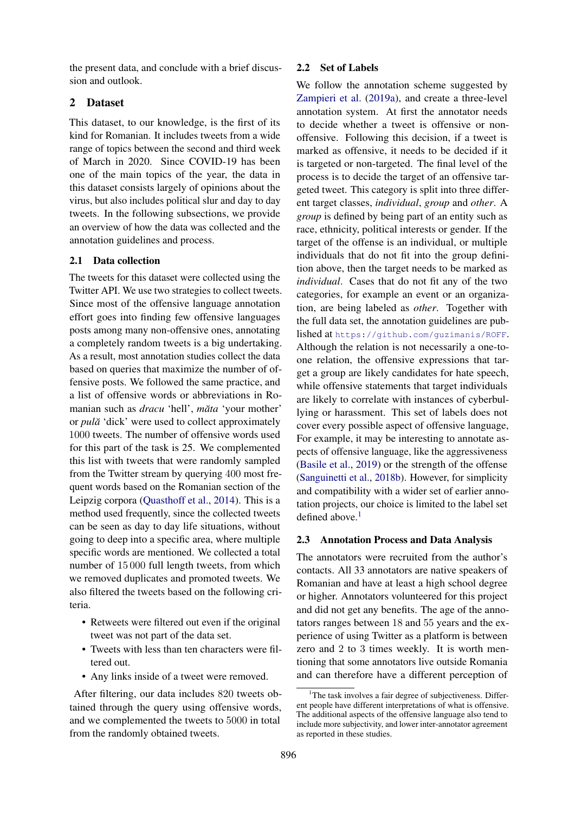the present data, and conclude with a brief discussion and outlook.

# 2 Dataset

This dataset, to our knowledge, is the first of its kind for Romanian. It includes tweets from a wide range of topics between the second and third week of March in 2020. Since COVID-19 has been one of the main topics of the year, the data in this dataset consists largely of opinions about the virus, but also includes political slur and day to day tweets. In the following subsections, we provide an overview of how the data was collected and the annotation guidelines and process.

# 2.1 Data collection

The tweets for this dataset were collected using the Twitter API. We use two strategies to collect tweets. Since most of the offensive language annotation effort goes into finding few offensive languages posts among many non-offensive ones, annotating a completely random tweets is a big undertaking. As a result, most annotation studies collect the data based on queries that maximize the number of offensive posts. We followed the same practice, and a list of offensive words or abbreviations in Romanian such as *dracu* 'hell', *măta* 'your mother' or *pula˘* 'dick' were used to collect approximately 1000 tweets. The number of offensive words used for this part of the task is 25. We complemented this list with tweets that were randomly sampled from the Twitter stream by querying 400 most frequent words based on the Romanian section of the Leipzig corpora [\(Quasthoff et al.,](#page-4-18) [2014\)](#page-4-18). This is a method used frequently, since the collected tweets can be seen as day to day life situations, without going to deep into a specific area, where multiple specific words are mentioned. We collected a total number of 15 000 full length tweets, from which we removed duplicates and promoted tweets. We also filtered the tweets based on the following criteria.

- Retweets were filtered out even if the original tweet was not part of the data set.
- Tweets with less than ten characters were filtered out.
- Any links inside of a tweet were removed.

After filtering, our data includes 820 tweets obtained through the query using offensive words, and we complemented the tweets to 5000 in total from the randomly obtained tweets.

### 2.2 Set of Labels

We follow the annotation scheme suggested by [Zampieri et al.](#page-5-8) [\(2019a\)](#page-5-8), and create a three-level annotation system. At first the annotator needs to decide whether a tweet is offensive or nonoffensive. Following this decision, if a tweet is marked as offensive, it needs to be decided if it is targeted or non-targeted. The final level of the process is to decide the target of an offensive targeted tweet. This category is split into three different target classes, *individual*, *group* and *other*. A *group* is defined by being part of an entity such as race, ethnicity, political interests or gender. If the target of the offense is an individual, or multiple individuals that do not fit into the group definition above, then the target needs to be marked as *individual*. Cases that do not fit any of the two categories, for example an event or an organization, are being labeled as *other*. Together with the full data set, the annotation guidelines are published at <https://github.com/guzimanis/ROFF>. Although the relation is not necessarily a one-toone relation, the offensive expressions that target a group are likely candidates for hate speech, while offensive statements that target individuals are likely to correlate with instances of cyberbullying or harassment. This set of labels does not cover every possible aspect of offensive language, For example, it may be interesting to annotate aspects of offensive language, like the aggressiveness [\(Basile et al.,](#page-4-3) [2019\)](#page-4-3) or the strength of the offense [\(Sanguinetti et al.,](#page-5-10) [2018b\)](#page-5-10). However, for simplicity and compatibility with a wider set of earlier annotation projects, our choice is limited to the label set defined above. $<sup>1</sup>$  $<sup>1</sup>$  $<sup>1</sup>$ </sup>

# 2.3 Annotation Process and Data Analysis

The annotators were recruited from the author's contacts. All 33 annotators are native speakers of Romanian and have at least a high school degree or higher. Annotators volunteered for this project and did not get any benefits. The age of the annotators ranges between 18 and 55 years and the experience of using Twitter as a platform is between zero and 2 to 3 times weekly. It is worth mentioning that some annotators live outside Romania and can therefore have a different perception of

<span id="page-1-0"></span><sup>&</sup>lt;sup>1</sup>The task involves a fair degree of subjectiveness. Different people have different interpretations of what is offensive. The additional aspects of the offensive language also tend to include more subjectivity, and lower inter-annotator agreement as reported in these studies.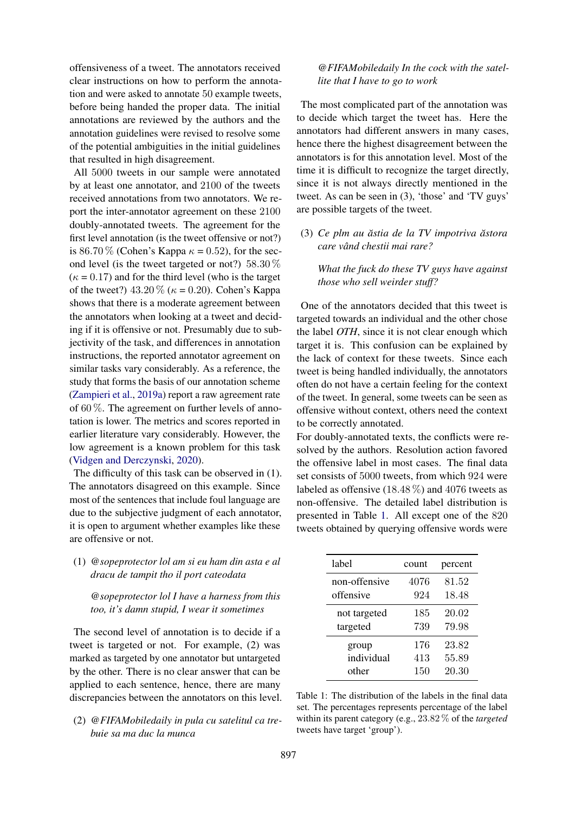offensiveness of a tweet. The annotators received clear instructions on how to perform the annotation and were asked to annotate 50 example tweets, before being handed the proper data. The initial annotations are reviewed by the authors and the annotation guidelines were revised to resolve some of the potential ambiguities in the initial guidelines that resulted in high disagreement.

All 5000 tweets in our sample were annotated by at least one annotator, and 2100 of the tweets received annotations from two annotators. We report the inter-annotator agreement on these 2100 doubly-annotated tweets. The agreement for the first level annotation (is the tweet offensive or not?) is 86.70 % (Cohen's Kappa  $\kappa = 0.52$ ), for the second level (is the tweet targeted or not?) 58.30 %  $(\kappa = 0.17)$  and for the third level (who is the target of the tweet?)  $43.20\%$  ( $\kappa = 0.20$ ). Cohen's Kappa shows that there is a moderate agreement between the annotators when looking at a tweet and deciding if it is offensive or not. Presumably due to subjectivity of the task, and differences in annotation instructions, the reported annotator agreement on similar tasks vary considerably. As a reference, the study that forms the basis of our annotation scheme [\(Zampieri et al.,](#page-5-8) [2019a\)](#page-5-8) report a raw agreement rate of  $60\%$ . The agreement on further levels of annotation is lower. The metrics and scores reported in earlier literature vary considerably. However, the low agreement is a known problem for this task [\(Vidgen and Derczynski,](#page-5-6) [2020\)](#page-5-6).

The difficulty of this task can be observed in (1). The annotators disagreed on this example. Since most of the sentences that include foul language are due to the subjective judgment of each annotator, it is open to argument whether examples like these are offensive or not.

(1) *@sopeprotector lol am si eu ham din asta e al dracu de tampit tho il port cateodata*

*@sopeprotector lol I have a harness from this too, it's damn stupid, I wear it sometimes*

The second level of annotation is to decide if a tweet is targeted or not. For example, (2) was marked as targeted by one annotator but untargeted by the other. There is no clear answer that can be applied to each sentence, hence, there are many discrepancies between the annotators on this level.

(2) *@FIFAMobiledaily in pula cu satelitul ca trebuie sa ma duc la munca*

*@FIFAMobiledaily In the cock with the satellite that I have to go to work*

The most complicated part of the annotation was to decide which target the tweet has. Here the annotators had different answers in many cases, hence there the highest disagreement between the annotators is for this annotation level. Most of the time it is difficult to recognize the target directly, since it is not always directly mentioned in the tweet. As can be seen in (3), 'those' and 'TV guys' are possible targets of the tweet.

(3) *Ce plm au astia de la TV impotriva ˘ astora ˘ care vand chestii mai rare? ˆ*

*What the fuck do these TV guys have against those who sell weirder stuff?*

One of the annotators decided that this tweet is targeted towards an individual and the other chose the label *OTH*, since it is not clear enough which target it is. This confusion can be explained by the lack of context for these tweets. Since each tweet is being handled individually, the annotators often do not have a certain feeling for the context of the tweet. In general, some tweets can be seen as offensive without context, others need the context to be correctly annotated.

For doubly-annotated texts, the conflicts were resolved by the authors. Resolution action favored the offensive label in most cases. The final data set consists of 5000 tweets, from which 924 were labeled as offensive  $(18.48\%)$  and  $4076$  tweets as non-offensive. The detailed label distribution is presented in Table [1.](#page-2-0) All except one of the 820 tweets obtained by querying offensive words were

<span id="page-2-0"></span>

| label         | count | percent |
|---------------|-------|---------|
| non-offensive | 4076  | 81.52   |
| offensive     | 924   | 18.48   |
| not targeted  | 185   | 20.02   |
| targeted      | 739   | 79.98   |
| group         | 176   | 23.82   |
| individual    | 413   | 55.89   |
| other         | 150   | 20.30   |

Table 1: The distribution of the labels in the final data set. The percentages represents percentage of the label within its parent category (e.g., 23.82 % of the *targeted* tweets have target 'group').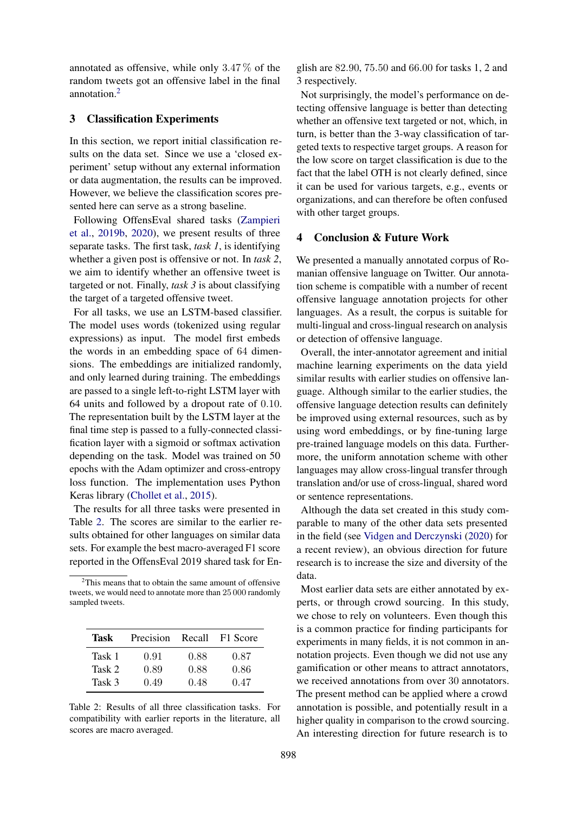annotated as offensive, while only 3.47 % of the random tweets got an offensive label in the final annotation.[2](#page-3-0)

#### 3 Classification Experiments

In this section, we report initial classification results on the data set. Since we use a 'closed experiment' setup without any external information or data augmentation, the results can be improved. However, we believe the classification scores presented here can serve as a strong baseline.

Following OffensEval shared tasks [\(Zampieri](#page-5-1) [et al.,](#page-5-1) [2019b,](#page-5-1) [2020\)](#page-5-2), we present results of three separate tasks. The first task, *task 1*, is identifying whether a given post is offensive or not. In *task 2*, we aim to identify whether an offensive tweet is targeted or not. Finally, *task 3* is about classifying the target of a targeted offensive tweet.

For all tasks, we use an LSTM-based classifier. The model uses words (tokenized using regular expressions) as input. The model first embeds the words in an embedding space of 64 dimensions. The embeddings are initialized randomly, and only learned during training. The embeddings are passed to a single left-to-right LSTM layer with 64 units and followed by a dropout rate of 0.10. The representation built by the LSTM layer at the final time step is passed to a fully-connected classification layer with a sigmoid or softmax activation depending on the task. Model was trained on 50 epochs with the Adam optimizer and cross-entropy loss function. The implementation uses Python Keras library [\(Chollet et al.,](#page-4-19) [2015\)](#page-4-19).

The results for all three tasks were presented in Table [2.](#page-3-1) The scores are similar to the earlier results obtained for other languages on similar data sets. For example the best macro-averaged F1 score reported in the OffensEval 2019 shared task for En-

<span id="page-3-0"></span> $2$ This means that to obtain the same amount of offensive tweets, we would need to annotate more than 25 000 randomly sampled tweets.

<span id="page-3-1"></span>

| Task   | Precision | Recall | F1 Score |
|--------|-----------|--------|----------|
| Task 1 | 0.91      | 0.88   | 0.87     |
| Task 2 | 0.89      | 0.88   | 0.86     |
| Task 3 | 0.49      | 0.48   | 0.47     |

Table 2: Results of all three classification tasks. For compatibility with earlier reports in the literature, all scores are macro averaged.

glish are 82.90, 75.50 and 66.00 for tasks 1, 2 and 3 respectively.

Not surprisingly, the model's performance on detecting offensive language is better than detecting whether an offensive text targeted or not, which, in turn, is better than the 3-way classification of targeted texts to respective target groups. A reason for the low score on target classification is due to the fact that the label OTH is not clearly defined, since it can be used for various targets, e.g., events or organizations, and can therefore be often confused with other target groups.

#### 4 Conclusion & Future Work

We presented a manually annotated corpus of Romanian offensive language on Twitter. Our annotation scheme is compatible with a number of recent offensive language annotation projects for other languages. As a result, the corpus is suitable for multi-lingual and cross-lingual research on analysis or detection of offensive language.

Overall, the inter-annotator agreement and initial machine learning experiments on the data yield similar results with earlier studies on offensive language. Although similar to the earlier studies, the offensive language detection results can definitely be improved using external resources, such as by using word embeddings, or by fine-tuning large pre-trained language models on this data. Furthermore, the uniform annotation scheme with other languages may allow cross-lingual transfer through translation and/or use of cross-lingual, shared word or sentence representations.

Although the data set created in this study comparable to many of the other data sets presented in the field (see [Vidgen and Derczynski](#page-5-6) [\(2020\)](#page-5-6) for a recent review), an obvious direction for future research is to increase the size and diversity of the data.

Most earlier data sets are either annotated by experts, or through crowd sourcing. In this study, we chose to rely on volunteers. Even though this is a common practice for finding participants for experiments in many fields, it is not common in annotation projects. Even though we did not use any gamification or other means to attract annotators, we received annotations from over 30 annotators. The present method can be applied where a crowd annotation is possible, and potentially result in a higher quality in comparison to the crowd sourcing. An interesting direction for future research is to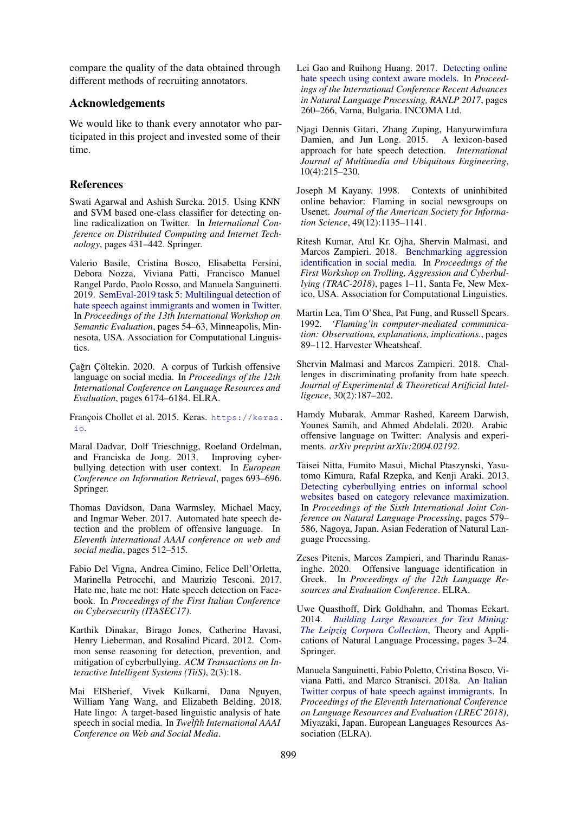compare the quality of the data obtained through different methods of recruiting annotators.

### Acknowledgements

We would like to thank every annotator who participated in this project and invested some of their time.

## References

<span id="page-4-4"></span>Swati Agarwal and Ashish Sureka. 2015. Using KNN and SVM based one-class classifier for detecting online radicalization on Twitter. In *International Conference on Distributed Computing and Internet Technology*, pages 431–442. Springer.

<span id="page-4-3"></span>Valerio Basile, Cristina Bosco, Elisabetta Fersini, Debora Nozza, Viviana Patti, Francisco Manuel Rangel Pardo, Paolo Rosso, and Manuela Sanguinetti. 2019. [SemEval-2019 task 5: Multilingual detection of](https://doi.org/10.18653/v1/S19-2007) [hate speech against immigrants and women in Twitter.](https://doi.org/10.18653/v1/S19-2007) In *Proceedings of the 13th International Workshop on Semantic Evaluation*, pages 54–63, Minneapolis, Minnesota, USA. Association for Computational Linguistics.

- <span id="page-4-17"></span>Çağrı Çöltekin. 2020. A corpus of Turkish offensive language on social media. In *Proceedings of the 12th International Conference on Language Resources and Evaluation*, pages 6174–6184. ELRA.
- <span id="page-4-19"></span>François Chollet et al. 2015. Keras. [https://keras.](https://keras.io) [io](https://keras.io).
- <span id="page-4-11"></span>Maral Dadvar, Dolf Trieschnigg, Roeland Ordelman, and Franciska de Jong. 2013. Improving cyberbullying detection with user context. In *European Conference on Information Retrieval*, pages 693–696. Springer.
- <span id="page-4-5"></span>Thomas Davidson, Dana Warmsley, Michael Macy, and Ingmar Weber. 2017. Automated hate speech detection and the problem of offensive language. In *Eleventh international AAAI conference on web and social media*, pages 512–515.
- <span id="page-4-6"></span>Fabio Del Vigna, Andrea Cimino, Felice Dell'Orletta, Marinella Petrocchi, and Maurizio Tesconi. 2017. Hate me, hate me not: Hate speech detection on Facebook. In *Proceedings of the First Italian Conference on Cybersecurity (ITASEC17)*.
- <span id="page-4-12"></span>Karthik Dinakar, Birago Jones, Catherine Havasi, Henry Lieberman, and Rosalind Picard. 2012. Common sense reasoning for detection, prevention, and mitigation of cyberbullying. *ACM Transactions on Interactive Intelligent Systems (TiiS)*, 2(3):18.
- <span id="page-4-7"></span>Mai ElSherief, Vivek Kulkarni, Dana Nguyen, William Yang Wang, and Elizabeth Belding. 2018. Hate lingo: A target-based linguistic analysis of hate speech in social media. In *Twelfth International AAAI Conference on Web and Social Media*.
- <span id="page-4-8"></span>Lei Gao and Ruihong Huang. 2017. [Detecting online](https://doi.org/10.26615/978-954-452-049-6_036) [hate speech using context aware models.](https://doi.org/10.26615/978-954-452-049-6_036) In *Proceedings of the International Conference Recent Advances in Natural Language Processing, RANLP 2017*, pages 260–266, Varna, Bulgaria. INCOMA Ltd.
- <span id="page-4-9"></span>Njagi Dennis Gitari, Zhang Zuping, Hanyurwimfura Damien, and Jun Long. 2015. A lexicon-based approach for hate speech detection. *International Journal of Multimedia and Ubiquitous Engineering*, 10(4):215–230.
- <span id="page-4-1"></span>Joseph M Kayany. 1998. Contexts of uninhibited online behavior: Flaming in social newsgroups on Usenet. *Journal of the American Society for Information Science*, 49(12):1135–1141.
- <span id="page-4-2"></span>Ritesh Kumar, Atul Kr. Ojha, Shervin Malmasi, and Marcos Zampieri. 2018. [Benchmarking aggression](https://www.aclweb.org/anthology/W18-4401) [identification in social media.](https://www.aclweb.org/anthology/W18-4401) In *Proceedings of the First Workshop on Trolling, Aggression and Cyberbullying (TRAC-2018)*, pages 1–11, Santa Fe, New Mexico, USA. Association for Computational Linguistics.
- <span id="page-4-0"></span>Martin Lea, Tim O'Shea, Pat Fung, and Russell Spears. 1992. *'Flaming'in computer-mediated communication: Observations, explanations, implications.*, pages 89–112. Harvester Wheatsheaf.
- <span id="page-4-14"></span>Shervin Malmasi and Marcos Zampieri. 2018. Challenges in discriminating profanity from hate speech. *Journal of Experimental & Theoretical Artificial Intelligence*, 30(2):187–202.
- <span id="page-4-15"></span>Hamdy Mubarak, Ammar Rashed, Kareem Darwish, Younes Samih, and Ahmed Abdelali. 2020. Arabic offensive language on Twitter: Analysis and experiments. *arXiv preprint arXiv:2004.02192*.
- <span id="page-4-13"></span>Taisei Nitta, Fumito Masui, Michal Ptaszynski, Yasutomo Kimura, Rafal Rzepka, and Kenji Araki. 2013. [Detecting cyberbullying entries on informal school](https://www.aclweb.org/anthology/I13-1066) [websites based on category relevance maximization.](https://www.aclweb.org/anthology/I13-1066) In *Proceedings of the Sixth International Joint Conference on Natural Language Processing*, pages 579– 586, Nagoya, Japan. Asian Federation of Natural Language Processing.
- <span id="page-4-16"></span>Zeses Pitenis, Marcos Zampieri, and Tharindu Ranasinghe. 2020. Offensive language identification in Greek. In *Proceedings of the 12th Language Resources and Evaluation Conference*. ELRA.
- <span id="page-4-18"></span>Uwe Quasthoff, Dirk Goldhahn, and Thomas Eckart. 2014. *[Building Large Resources for Text Mining:](https://doi.org/10.1007/978-3-319-12655-5_1) [The Leipzig Corpora Collection](https://doi.org/10.1007/978-3-319-12655-5_1)*, Theory and Applications of Natural Language Processing, pages 3–24. Springer.
- <span id="page-4-10"></span>Manuela Sanguinetti, Fabio Poletto, Cristina Bosco, Viviana Patti, and Marco Stranisci. 2018a. [An Italian](https://www.aclweb.org/anthology/L18-1443) [Twitter corpus of hate speech against immigrants.](https://www.aclweb.org/anthology/L18-1443) In *Proceedings of the Eleventh International Conference on Language Resources and Evaluation (LREC 2018)*, Miyazaki, Japan. European Languages Resources Association (ELRA).